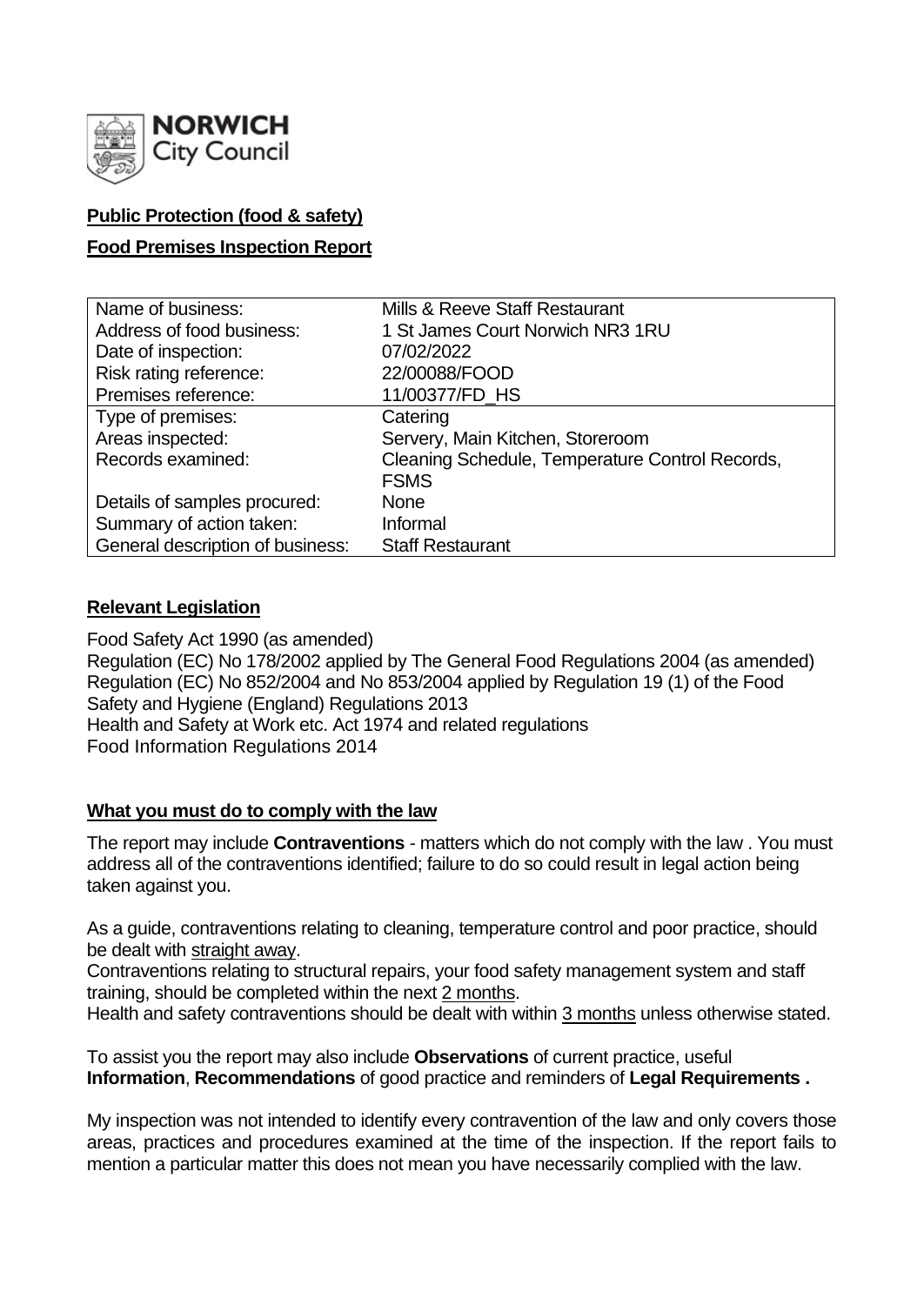

## **Public Protection (food & safety)**

### **Food Premises Inspection Report**

| Name of business:                | Mills & Reeve Staff Restaurant                  |
|----------------------------------|-------------------------------------------------|
| Address of food business:        | 1 St James Court Norwich NR3 1RU                |
| Date of inspection:              | 07/02/2022                                      |
| Risk rating reference:           | 22/00088/FOOD                                   |
| Premises reference:              | 11/00377/FD HS                                  |
| Type of premises:                | Catering                                        |
| Areas inspected:                 | Servery, Main Kitchen, Storeroom                |
| Records examined:                | Cleaning Schedule, Temperature Control Records, |
|                                  | <b>FSMS</b>                                     |
| Details of samples procured:     | <b>None</b>                                     |
| Summary of action taken:         | Informal                                        |
| General description of business: | <b>Staff Restaurant</b>                         |

### **Relevant Legislation**

Food Safety Act 1990 (as amended) Regulation (EC) No 178/2002 applied by The General Food Regulations 2004 (as amended) Regulation (EC) No 852/2004 and No 853/2004 applied by Regulation 19 (1) of the Food Safety and Hygiene (England) Regulations 2013 Health and Safety at Work etc. Act 1974 and related regulations Food Information Regulations 2014

### **What you must do to comply with the law**

The report may include **Contraventions** - matters which do not comply with the law . You must address all of the contraventions identified; failure to do so could result in legal action being taken against you.

As a guide, contraventions relating to cleaning, temperature control and poor practice, should be dealt with straight away.

Contraventions relating to structural repairs, your food safety management system and staff training, should be completed within the next 2 months.

Health and safety contraventions should be dealt with within 3 months unless otherwise stated.

To assist you the report may also include **Observations** of current practice, useful **Information**, **Recommendations** of good practice and reminders of **Legal Requirements .**

My inspection was not intended to identify every contravention of the law and only covers those areas, practices and procedures examined at the time of the inspection. If the report fails to mention a particular matter this does not mean you have necessarily complied with the law.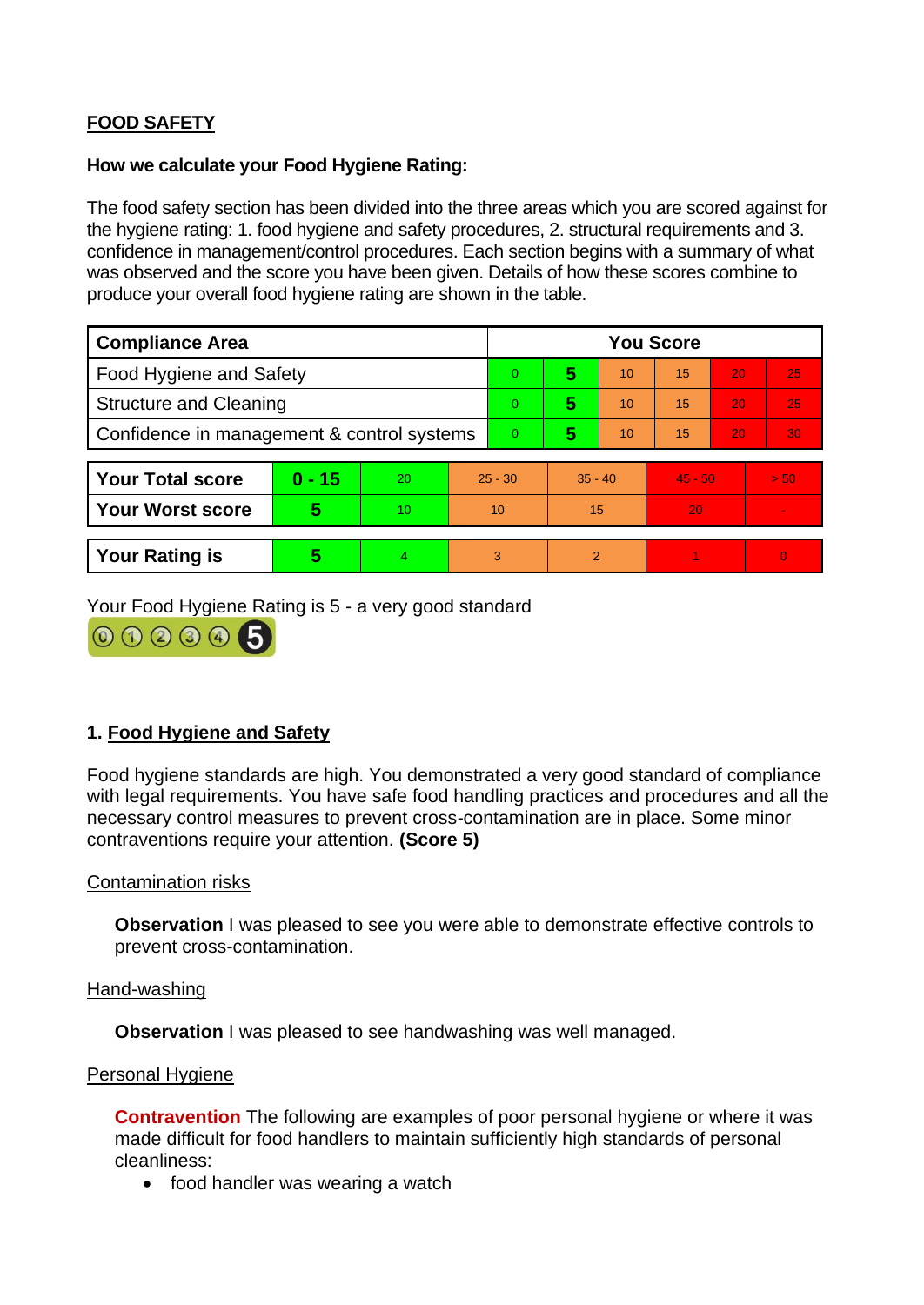# **FOOD SAFETY**

#### **How we calculate your Food Hygiene Rating:**

The food safety section has been divided into the three areas which you are scored against for the hygiene rating: 1. food hygiene and safety procedures, 2. structural requirements and 3. confidence in management/control procedures. Each section begins with a summary of what was observed and the score you have been given. Details of how these scores combine to produce your overall food hygiene rating are shown in the table.

| <b>Compliance Area</b>                     |          |    |           | <b>You Score</b> |                |    |           |    |          |  |  |
|--------------------------------------------|----------|----|-----------|------------------|----------------|----|-----------|----|----------|--|--|
| <b>Food Hygiene and Safety</b>             |          |    |           | 0                | 5              | 10 | 15        | 20 | 25       |  |  |
| <b>Structure and Cleaning</b>              |          |    |           | 0                | 5              | 10 | 15        | 20 | 25       |  |  |
| Confidence in management & control systems |          |    |           | 0                | 5              | 10 | 15        | 20 | 30       |  |  |
|                                            |          |    |           |                  |                |    |           |    |          |  |  |
| <b>Your Total score</b>                    | $0 - 15$ | 20 | $25 - 30$ |                  | $35 - 40$      |    | $45 - 50$ |    | > 50     |  |  |
| <b>Your Worst score</b>                    | 5        | 10 | 10        |                  | 15             |    | 20        |    |          |  |  |
|                                            |          |    |           |                  |                |    |           |    |          |  |  |
| <b>Your Rating is</b>                      | 5        | 4  |           | 3                | $\overline{2}$ |    |           |    | $\Omega$ |  |  |

Your Food Hygiene Rating is 5 - a very good standard



### **1. Food Hygiene and Safety**

Food hygiene standards are high. You demonstrated a very good standard of compliance with legal requirements. You have safe food handling practices and procedures and all the necessary control measures to prevent cross-contamination are in place. Some minor contraventions require your attention. **(Score 5)**

### Contamination risks

**Observation** I was pleased to see you were able to demonstrate effective controls to prevent cross-contamination.

Hand-washing

**Observation** I was pleased to see handwashing was well managed.

#### Personal Hygiene

**Contravention** The following are examples of poor personal hygiene or where it was made difficult for food handlers to maintain sufficiently high standards of personal cleanliness:

• food handler was wearing a watch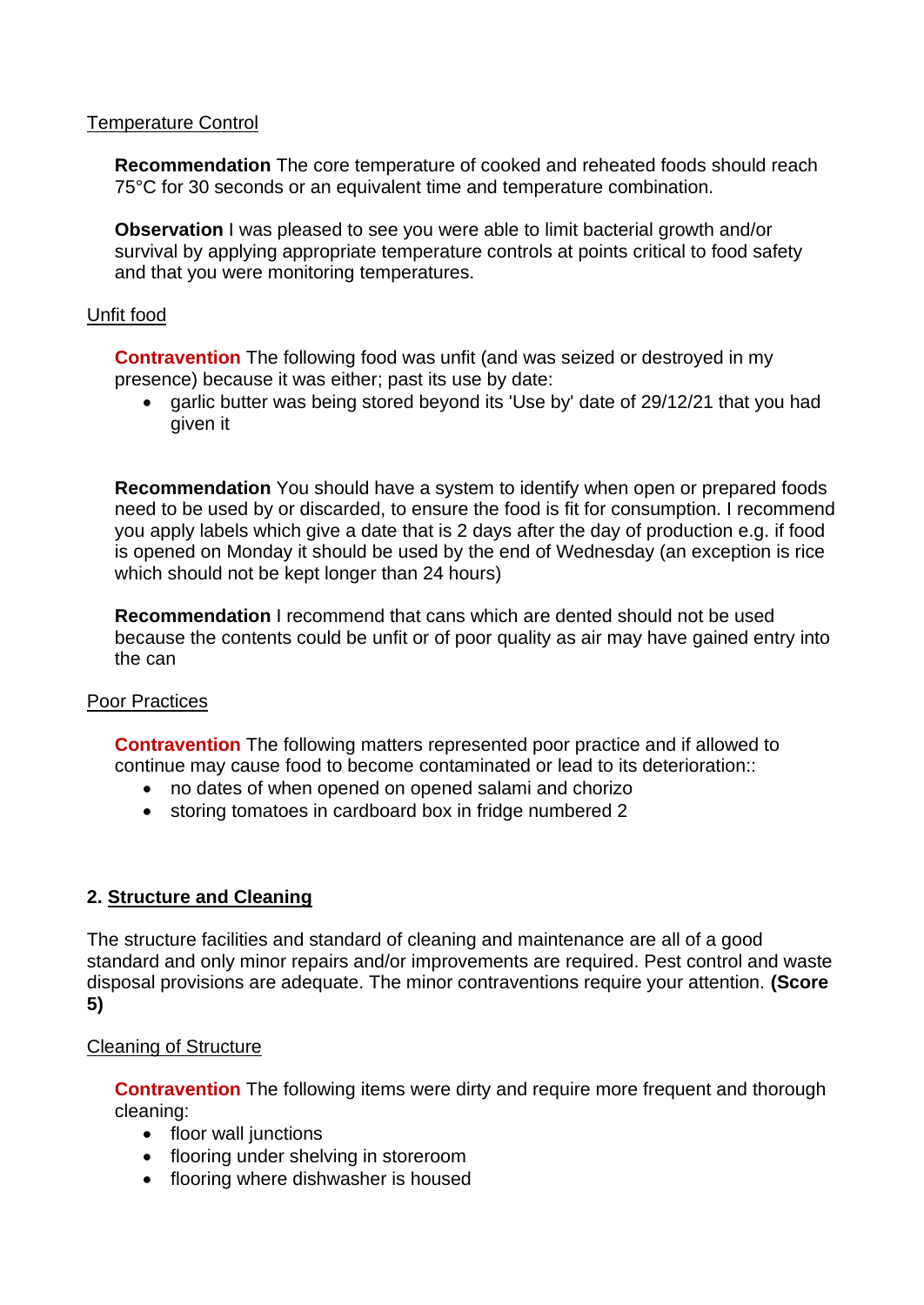### Temperature Control

**Recommendation** The core temperature of cooked and reheated foods should reach 75°C for 30 seconds or an equivalent time and temperature combination.

**Observation I** was pleased to see you were able to limit bacterial growth and/or survival by applying appropriate temperature controls at points critical to food safety and that you were monitoring temperatures.

### Unfit food

**Contravention** The following food was unfit (and was seized or destroyed in my presence) because it was either; past its use by date:

• garlic butter was being stored beyond its 'Use by' date of 29/12/21 that you had given it

**Recommendation** You should have a system to identify when open or prepared foods need to be used by or discarded, to ensure the food is fit for consumption. I recommend you apply labels which give a date that is 2 days after the day of production e.g. if food is opened on Monday it should be used by the end of Wednesday (an exception is rice which should not be kept longer than 24 hours)

**Recommendation** I recommend that cans which are dented should not be used because the contents could be unfit or of poor quality as air may have gained entry into the can

### Poor Practices

**Contravention** The following matters represented poor practice and if allowed to continue may cause food to become contaminated or lead to its deterioration::

- no dates of when opened on opened salami and chorizo
- storing tomatoes in cardboard box in fridge numbered 2

### **2. Structure and Cleaning**

The structure facilities and standard of cleaning and maintenance are all of a good standard and only minor repairs and/or improvements are required. Pest control and waste disposal provisions are adequate. The minor contraventions require your attention. **(Score 5)**

### Cleaning of Structure

**Contravention** The following items were dirty and require more frequent and thorough cleaning:

- floor wall junctions
- flooring under shelving in storeroom
- flooring where dishwasher is housed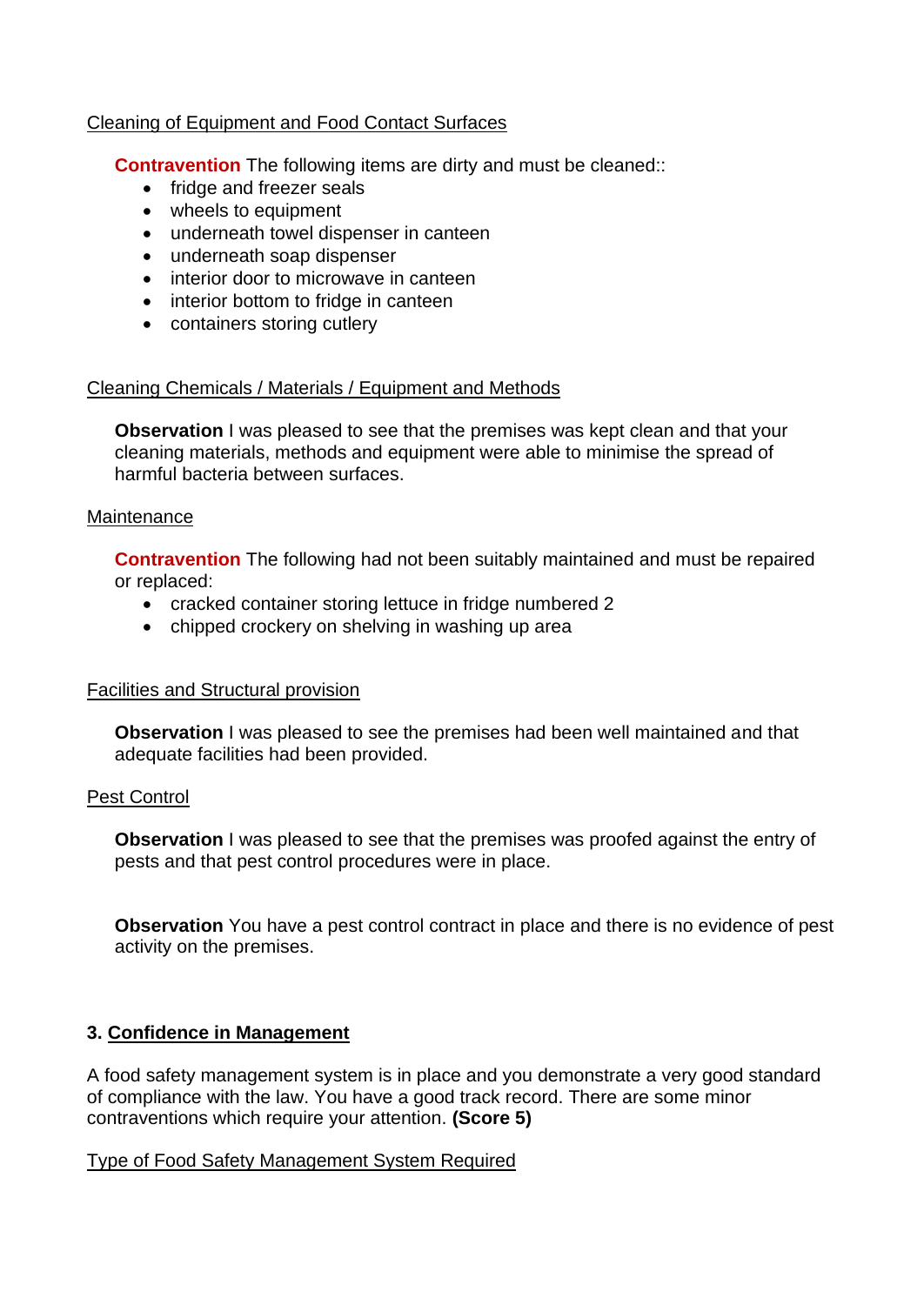### Cleaning of Equipment and Food Contact Surfaces

**Contravention** The following items are dirty and must be cleaned::

- fridge and freezer seals
- wheels to equipment
- underneath towel dispenser in canteen
- underneath soap dispenser
- interior door to microwave in canteen
- interior bottom to fridge in canteen
- containers storing cutlery

### Cleaning Chemicals / Materials / Equipment and Methods

**Observation** I was pleased to see that the premises was kept clean and that your cleaning materials, methods and equipment were able to minimise the spread of harmful bacteria between surfaces.

### **Maintenance**

**Contravention** The following had not been suitably maintained and must be repaired or replaced:

- cracked container storing lettuce in fridge numbered 2
- chipped crockery on shelving in washing up area

### Facilities and Structural provision

**Observation** I was pleased to see the premises had been well maintained and that adequate facilities had been provided.

### Pest Control

**Observation** I was pleased to see that the premises was proofed against the entry of pests and that pest control procedures were in place.

**Observation** You have a pest control contract in place and there is no evidence of pest activity on the premises.

### **3. Confidence in Management**

A food safety management system is in place and you demonstrate a very good standard of compliance with the law. You have a good track record. There are some minor contraventions which require your attention. **(Score 5)**

### Type of Food Safety Management System Required